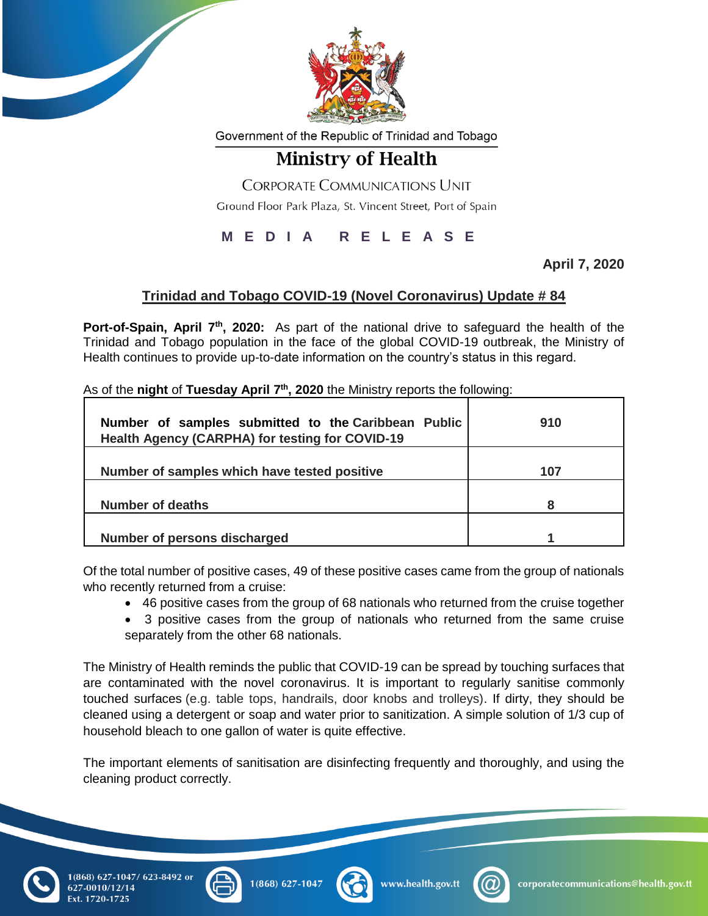

Government of the Republic of Trinidad and Tobago

## **Ministry of Health**

**CORPORATE COMMUNICATIONS UNIT** 

Ground Floor Park Plaza, St. Vincent Street, Port of Spain

## **M E D I A R E L E A S E**

**April 7, 2020**

## **Trinidad and Tobago COVID-19 (Novel Coronavirus) Update # 84**

Port-of-Spain, April 7<sup>th</sup>, 2020: As part of the national drive to safeguard the health of the Trinidad and Tobago population in the face of the global COVID-19 outbreak, the Ministry of Health continues to provide up-to-date information on the country's status in this regard.

|  | As of the night of Tuesday April 7 <sup>th</sup> , 2020 the Ministry reports the following: |  |
|--|---------------------------------------------------------------------------------------------|--|
|--|---------------------------------------------------------------------------------------------|--|

| Number of samples submitted to the Caribbean Public<br>Health Agency (CARPHA) for testing for COVID-19 | 910 |
|--------------------------------------------------------------------------------------------------------|-----|
| Number of samples which have tested positive                                                           | 107 |
| Number of deaths                                                                                       | 8   |
| Number of persons discharged                                                                           |     |

Of the total number of positive cases, 49 of these positive cases came from the group of nationals who recently returned from a cruise:

- 46 positive cases from the group of 68 nationals who returned from the cruise together
- 3 positive cases from the group of nationals who returned from the same cruise separately from the other 68 nationals.

The Ministry of Health reminds the public that COVID-19 can be spread by touching surfaces that are contaminated with the novel coronavirus. It is important to regularly sanitise commonly touched surfaces (e.g. table tops, handrails, door knobs and trolleys). If dirty, they should be cleaned using a detergent or soap and water prior to sanitization. A simple solution of 1/3 cup of household bleach to one gallon of water is quite effective.

The important elements of sanitisation are disinfecting frequently and thoroughly, and using the cleaning product correctly.